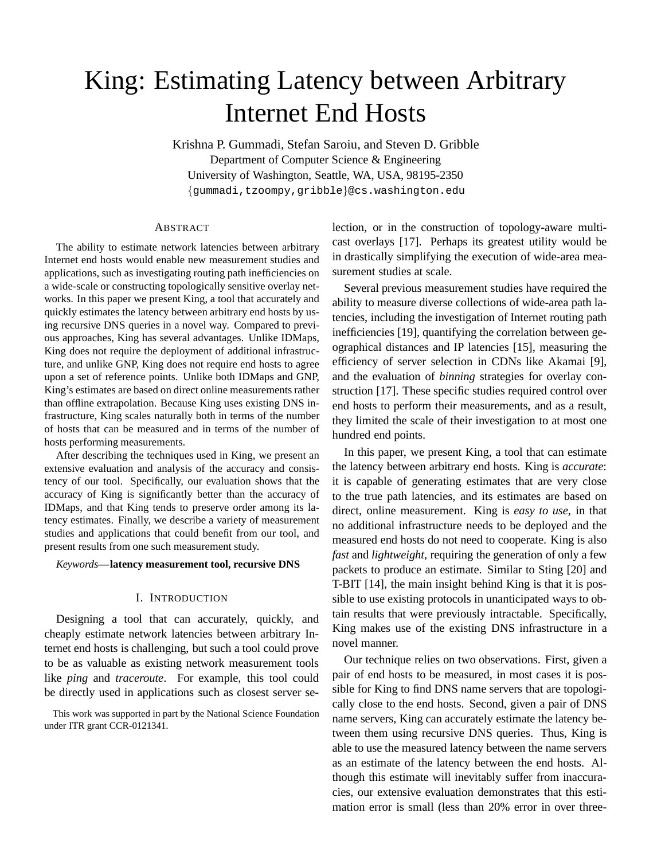# King: Estimating Latency between Arbitrary Internet End Hosts

Krishna P. Gummadi, Stefan Saroiu, and Steven D. Gribble Department of Computer Science & Engineering University of Washington, Seattle, WA, USA, 98195-2350 {gummadi,tzoompy,gribble}@cs.washington.edu

## ABSTRACT

The ability to estimate network latencies between arbitrary Internet end hosts would enable new measurement studies and applications, such as investigating routing path inefficiencies on a wide-scale or constructing topologically sensitive overlay networks. In this paper we present King, a tool that accurately and quickly estimates the latency between arbitrary end hosts by using recursive DNS queries in a novel way. Compared to previous approaches, King has several advantages. Unlike IDMaps, King does not require the deployment of additional infrastructure, and unlike GNP, King does not require end hosts to agree upon a set of reference points. Unlike both IDMaps and GNP, King's estimates are based on direct online measurements rather than offline extrapolation. Because King uses existing DNS infrastructure, King scales naturally both in terms of the number of hosts that can be measured and in terms of the number of hosts performing measurements.

After describing the techniques used in King, we present an extensive evaluation and analysis of the accuracy and consistency of our tool. Specifically, our evaluation shows that the accuracy of King is significantly better than the accuracy of IDMaps, and that King tends to preserve order among its latency estimates. Finally, we describe a variety of measurement studies and applications that could benefit from our tool, and present results from one such measurement study.

#### *Keywords***—latency measurement tool, recursive DNS**

## I. INTRODUCTION

Designing a tool that can accurately, quickly, and cheaply estimate network latencies between arbitrary Internet end hosts is challenging, but such a tool could prove to be as valuable as existing network measurement tools like *ping* and *traceroute*. For example, this tool could be directly used in applications such as closest server se-

This work was supported in part by the National Science Foundation under ITR grant CCR-0121341.

lection, or in the construction of topology-aware multicast overlays [17]. Perhaps its greatest utility would be in drastically simplifying the execution of wide-area measurement studies at scale.

Several previous measurement studies have required the ability to measure diverse collections of wide-area path latencies, including the investigation of Internet routing path inefficiencies [19], quantifying the correlation between geographical distances and IP latencies [15], measuring the efficiency of server selection in CDNs like Akamai [9], and the evaluation of *binning* strategies for overlay construction [17]. These specific studies required control over end hosts to perform their measurements, and as a result, they limited the scale of their investigation to at most one hundred end points.

In this paper, we present King, a tool that can estimate the latency between arbitrary end hosts. King is *accurate*: it is capable of generating estimates that are very close to the true path latencies, and its estimates are based on direct, online measurement. King is *easy to use*, in that no additional infrastructure needs to be deployed and the measured end hosts do not need to cooperate. King is also *fast* and *lightweight*, requiring the generation of only a few packets to produce an estimate. Similar to Sting [20] and T-BIT [14], the main insight behind King is that it is possible to use existing protocols in unanticipated ways to obtain results that were previously intractable. Specifically, King makes use of the existing DNS infrastructure in a novel manner.

Our technique relies on two observations. First, given a pair of end hosts to be measured, in most cases it is possible for King to find DNS name servers that are topologically close to the end hosts. Second, given a pair of DNS name servers, King can accurately estimate the latency between them using recursive DNS queries. Thus, King is able to use the measured latency between the name servers as an estimate of the latency between the end hosts. Although this estimate will inevitably suffer from inaccuracies, our extensive evaluation demonstrates that this estimation error is small (less than 20% error in over three-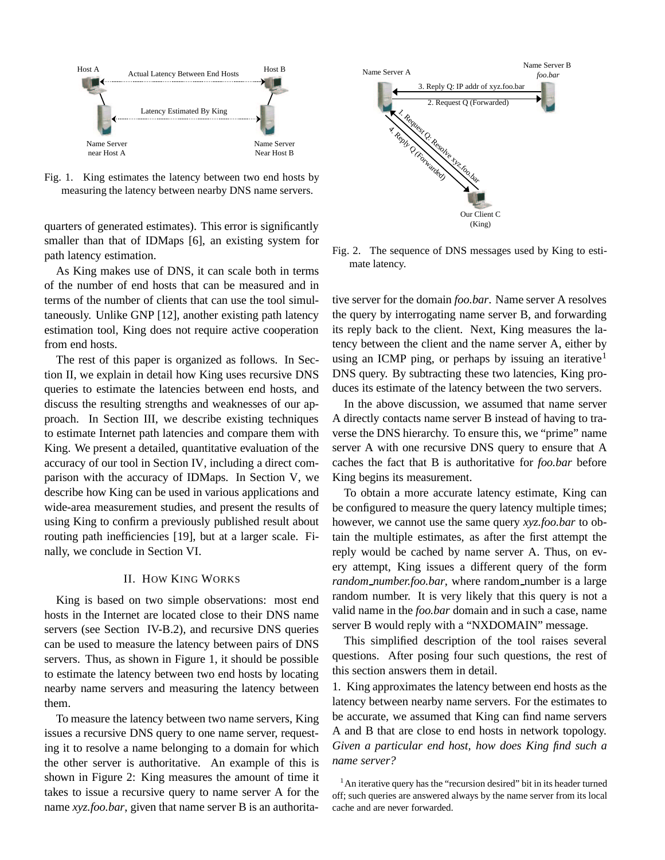

Fig. 1. King estimates the latency between two end hosts by measuring the latency between nearby DNS name servers.

quarters of generated estimates). This error is significantly smaller than that of IDMaps [6], an existing system for path latency estimation.

As King makes use of DNS, it can scale both in terms of the number of end hosts that can be measured and in terms of the number of clients that can use the tool simultaneously. Unlike GNP [12], another existing path latency estimation tool, King does not require active cooperation from end hosts.

The rest of this paper is organized as follows. In Section II, we explain in detail how King uses recursive DNS queries to estimate the latencies between end hosts, and discuss the resulting strengths and weaknesses of our approach. In Section III, we describe existing techniques to estimate Internet path latencies and compare them with King. We present a detailed, quantitative evaluation of the accuracy of our tool in Section IV, including a direct comparison with the accuracy of IDMaps. In Section V, we describe how King can be used in various applications and wide-area measurement studies, and present the results of using King to confirm a previously published result about routing path inefficiencies [19], but at a larger scale. Finally, we conclude in Section VI.

## II. HOW KING WORKS

King is based on two simple observations: most end hosts in the Internet are located close to their DNS name servers (see Section IV-B.2), and recursive DNS queries can be used to measure the latency between pairs of DNS servers. Thus, as shown in Figure 1, it should be possible to estimate the latency between two end hosts by locating nearby name servers and measuring the latency between them.

To measure the latency between two name servers, King issues a recursive DNS query to one name server, requesting it to resolve a name belonging to a domain for which the other server is authoritative. An example of this is shown in Figure 2: King measures the amount of time it takes to issue a recursive query to name server A for the name *xyz.foo.bar*, given that name server B is an authorita-



Fig. 2. The sequence of DNS messages used by King to estimate latency.

tive server for the domain *foo.bar*. Name server A resolves the query by interrogating name server B, and forwarding its reply back to the client. Next, King measures the latency between the client and the name server A, either by using an ICMP ping, or perhaps by issuing an iterative<sup>1</sup> DNS query. By subtracting these two latencies, King produces its estimate of the latency between the two servers.

In the above discussion, we assumed that name server A directly contacts name server B instead of having to traverse the DNS hierarchy. To ensure this, we "prime" name server A with one recursive DNS query to ensure that A caches the fact that B is authoritative for *foo.bar* before King begins its measurement.

To obtain a more accurate latency estimate, King can be configured to measure the query latency multiple times; however, we cannot use the same query *xyz.foo.bar* to obtain the multiple estimates, as after the first attempt the reply would be cached by name server A. Thus, on every attempt, King issues a different query of the form *random\_number.foo.bar*, where random\_number is a large random number. It is very likely that this query is not a valid name in the *foo.bar* domain and in such a case, name server B would reply with a "NXDOMAIN" message.

This simplified description of the tool raises several questions. After posing four such questions, the rest of this section answers them in detail.

1. King approximates the latency between end hosts as the latency between nearby name servers. For the estimates to be accurate, we assumed that King can find name servers A and B that are close to end hosts in network topology. *Given a particular end host, how does King find such a name server?*

 $<sup>1</sup>$ An iterative query has the "recursion desired" bit in its header turned</sup> off; such queries are answered always by the name server from its local cache and are never forwarded.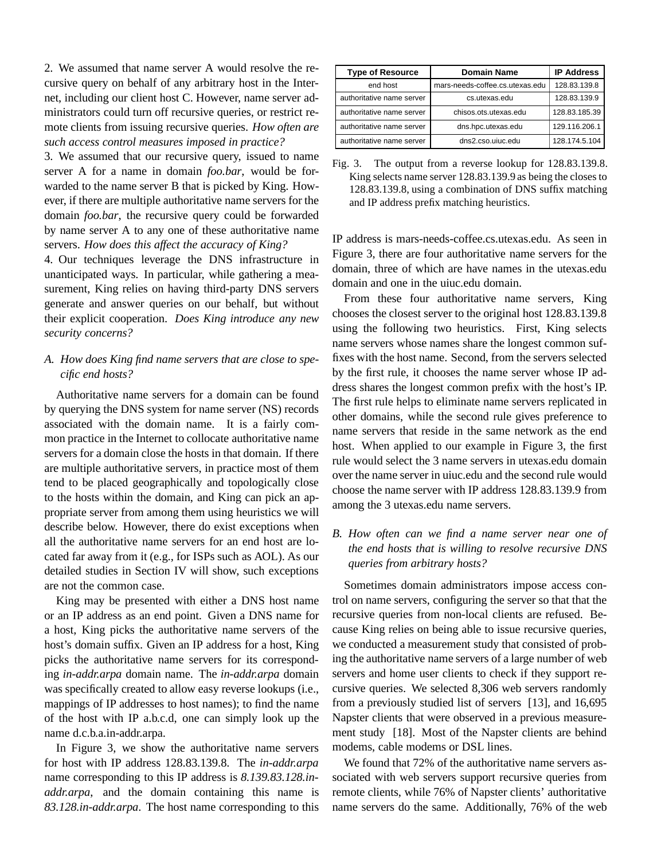2. We assumed that name server A would resolve the recursive query on behalf of any arbitrary host in the Internet, including our client host C. However, name server administrators could turn off recursive queries, or restrict remote clients from issuing recursive queries. *How often are such access control measures imposed in practice?*

3. We assumed that our recursive query, issued to name server A for a name in domain *foo.bar*, would be forwarded to the name server B that is picked by King. However, if there are multiple authoritative name servers for the domain *foo.bar*, the recursive query could be forwarded by name server A to any one of these authoritative name servers. *How does this affect the accuracy of King?*

4. Our techniques leverage the DNS infrastructure in unanticipated ways. In particular, while gathering a measurement, King relies on having third-party DNS servers generate and answer queries on our behalf, but without their explicit cooperation. *Does King introduce any new security concerns?*

# *A. How does King find name servers that are close to specific end hosts?*

Authoritative name servers for a domain can be found by querying the DNS system for name server (NS) records associated with the domain name. It is a fairly common practice in the Internet to collocate authoritative name servers for a domain close the hosts in that domain. If there are multiple authoritative servers, in practice most of them tend to be placed geographically and topologically close to the hosts within the domain, and King can pick an appropriate server from among them using heuristics we will describe below. However, there do exist exceptions when all the authoritative name servers for an end host are located far away from it (e.g., for ISPs such as AOL). As our detailed studies in Section IV will show, such exceptions are not the common case.

King may be presented with either a DNS host name or an IP address as an end point. Given a DNS name for a host, King picks the authoritative name servers of the host's domain suffix. Given an IP address for a host, King picks the authoritative name servers for its corresponding *in-addr.arpa* domain name. The *in-addr.arpa* domain was specifically created to allow easy reverse lookups (i.e., mappings of IP addresses to host names); to find the name of the host with IP a.b.c.d, one can simply look up the name d.c.b.a.in-addr.arpa.

In Figure 3, we show the authoritative name servers for host with IP address 128.83.139.8. The *in-addr.arpa* name corresponding to this IP address is *8.139.83.128.inaddr.arpa*, and the domain containing this name is *83.128.in-addr.arpa*. The host name corresponding to this

| <b>Type of Resource</b>   | <b>Domain Name</b>              | <b>IP Address</b> |
|---------------------------|---------------------------------|-------------------|
| end host                  | mars-needs-coffee.cs.utexas.edu | 128.83.139.8      |
| authoritative name server | cs.utexas.edu                   | 128.83.139.9      |
| authoritative name server | chisos.ots.utexas.edu           | 128.83.185.39     |
| authoritative name server | dns.hpc.utexas.edu              | 129.116.206.1     |
| authoritative name server | dns2.cso.uiuc.edu               | 128.174.5.104     |

Fig. 3. The output from a reverse lookup for 128.83.139.8. King selects name server 128.83.139.9 as being the closes to 128.83.139.8, using a combination of DNS suffix matching and IP address prefix matching heuristics.

IP address is mars-needs-coffee.cs.utexas.edu. As seen in Figure 3, there are four authoritative name servers for the domain, three of which are have names in the utexas.edu domain and one in the uiuc.edu domain.

From these four authoritative name servers, King chooses the closest server to the original host 128.83.139.8 using the following two heuristics. First, King selects name servers whose names share the longest common suffixes with the host name. Second, from the servers selected by the first rule, it chooses the name server whose IP address shares the longest common prefix with the host's IP. The first rule helps to eliminate name servers replicated in other domains, while the second rule gives preference to name servers that reside in the same network as the end host. When applied to our example in Figure 3, the first rule would select the 3 name servers in utexas.edu domain over the name server in uiuc.edu and the second rule would choose the name server with IP address 128.83.139.9 from among the 3 utexas.edu name servers.

*B. How often can we find a name server near one of the end hosts that is willing to resolve recursive DNS queries from arbitrary hosts?*

Sometimes domain administrators impose access control on name servers, configuring the server so that that the recursive queries from non-local clients are refused. Because King relies on being able to issue recursive queries, we conducted a measurement study that consisted of probing the authoritative name servers of a large number of web servers and home user clients to check if they support recursive queries. We selected 8,306 web servers randomly from a previously studied list of servers [13], and 16,695 Napster clients that were observed in a previous measurement study [18]. Most of the Napster clients are behind modems, cable modems or DSL lines.

We found that 72% of the authoritative name servers associated with web servers support recursive queries from remote clients, while 76% of Napster clients' authoritative name servers do the same. Additionally, 76% of the web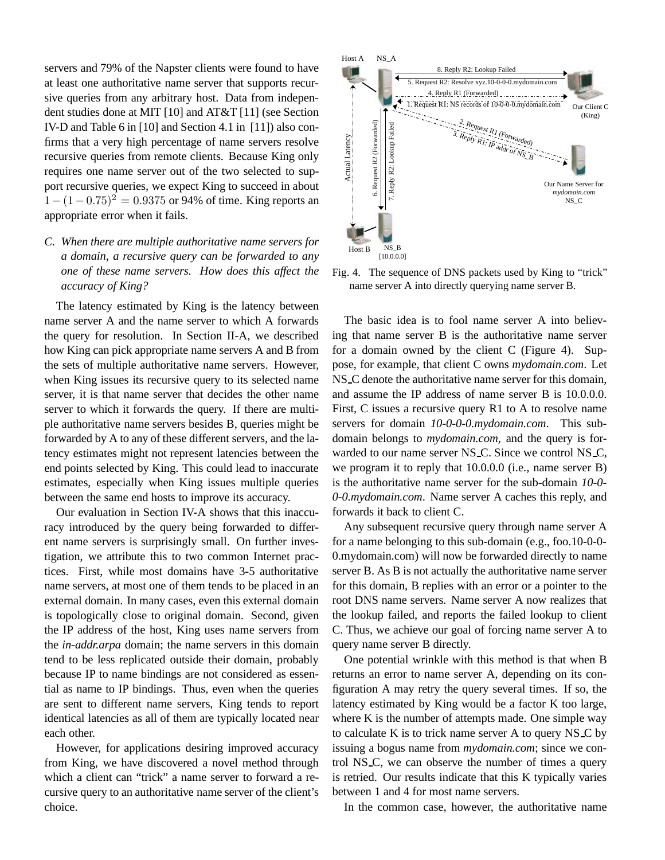servers and 79% of the Napster clients were found to have at least one authoritative name server that supports recursive queries from any arbitrary host. Data from independent studies done at MIT [10] and AT&T [11] (see Section IV-D and Table 6 in [10] and Section 4.1 in [11]) also confirms that a very high percentage of name servers resolve recursive queries from remote clients. Because King only requires one name server out of the two selected to support recursive queries, we expect King to succeed in about  $1-(1-0.75)^2 = 0.9375$  or 94% of time. King reports an appropriate error when it fails.

*C. When there are multiple authoritative name servers for a domain, a recursive query can be forwarded to any one of these name servers. How does this affect the accuracy of King?*

The latency estimated by King is the latency between name server A and the name server to which A forwards the query for resolution. In Section II-A, we described how King can pick appropriate name servers A and B from the sets of multiple authoritative name servers. However, when King issues its recursive query to its selected name server, it is that name server that decides the other name server to which it forwards the query. If there are multiple authoritative name servers besides B, queries might be forwarded by A to any of these different servers, and the latency estimates might not represent latencies between the end points selected by King. This could lead to inaccurate estimates, especially when King issues multiple queries between the same end hosts to improve its accuracy.

Our evaluation in Section IV-A shows that this inaccuracy introduced by the query being forwarded to different name servers is surprisingly small. On further investigation, we attribute this to two common Internet practices. First, while most domains have 3-5 authoritative name servers, at most one of them tends to be placed in an external domain. In many cases, even this external domain is topologically close to original domain. Second, given the IP address of the host, King uses name servers from the *in-addr.arpa* domain; the name servers in this domain tend to be less replicated outside their domain, probably because IP to name bindings are not considered as essential as name to IP bindings. Thus, even when the queries are sent to different name servers, King tends to report identical latencies as all of them are typically located near each other.

However, for applications desiring improved accuracy from King, we have discovered a novel method through which a client can "trick" a name server to forward a recursive query to an authoritative name server of the client's choice.



Fig. 4. The sequence of DNS packets used by King to "trick" name server A into directly querying name server B.

The basic idea is to fool name server A into believing that name server B is the authoritative name server for a domain owned by the client C (Figure 4). Suppose, for example, that client C owns *mydomain.com*. Let NS C denote the authoritative name server for this domain, and assume the IP address of name server B is 10.0.0.0. First, C issues a recursive query R1 to A to resolve name servers for domain *10-0-0-0.mydomain.com*. This subdomain belongs to *mydomain.com*, and the query is forwarded to our name server NS\_C. Since we control NS\_C, we program it to reply that 10.0.0.0 (i.e., name server B) is the authoritative name server for the sub-domain *10-0- 0-0.mydomain.com*. Name server A caches this reply, and forwards it back to client C.

Any subsequent recursive query through name server A for a name belonging to this sub-domain (e.g., foo.10-0-0- 0.mydomain.com) will now be forwarded directly to name server B. As B is not actually the authoritative name server for this domain, B replies with an error or a pointer to the root DNS name servers. Name server A now realizes that the lookup failed, and reports the failed lookup to client C. Thus, we achieve our goal of forcing name server A to query name server B directly.

One potential wrinkle with this method is that when B returns an error to name server A, depending on its configuration A may retry the query several times. If so, the latency estimated by King would be a factor K too large, where K is the number of attempts made. One simple way to calculate K is to trick name server A to query NS C by issuing a bogus name from *mydomain.com*; since we control NS C, we can observe the number of times a query is retried. Our results indicate that this K typically varies between 1 and 4 for most name servers.

In the common case, however, the authoritative name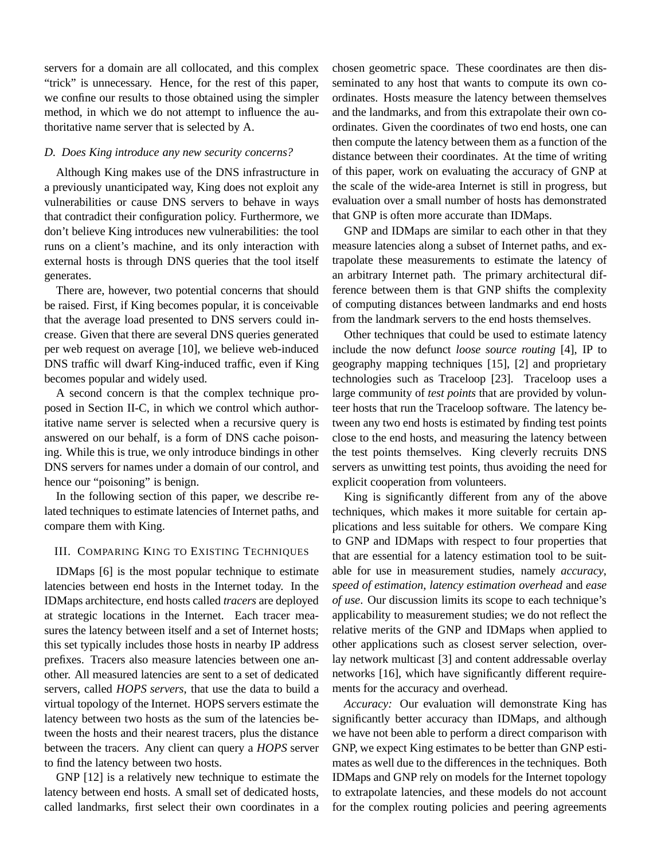servers for a domain are all collocated, and this complex "trick" is unnecessary. Hence, for the rest of this paper, we confine our results to those obtained using the simpler method, in which we do not attempt to influence the authoritative name server that is selected by A.

#### *D. Does King introduce any new security concerns?*

Although King makes use of the DNS infrastructure in a previously unanticipated way, King does not exploit any vulnerabilities or cause DNS servers to behave in ways that contradict their configuration policy. Furthermore, we don't believe King introduces new vulnerabilities: the tool runs on a client's machine, and its only interaction with external hosts is through DNS queries that the tool itself generates.

There are, however, two potential concerns that should be raised. First, if King becomes popular, it is conceivable that the average load presented to DNS servers could increase. Given that there are several DNS queries generated per web request on average [10], we believe web-induced DNS traffic will dwarf King-induced traffic, even if King becomes popular and widely used.

A second concern is that the complex technique proposed in Section II-C, in which we control which authoritative name server is selected when a recursive query is answered on our behalf, is a form of DNS cache poisoning. While this is true, we only introduce bindings in other DNS servers for names under a domain of our control, and hence our "poisoning" is benign.

In the following section of this paper, we describe related techniques to estimate latencies of Internet paths, and compare them with King.

## III. COMPARING KING TO EXISTING TECHNIQUES

IDMaps [6] is the most popular technique to estimate latencies between end hosts in the Internet today. In the IDMaps architecture, end hosts called *tracers* are deployed at strategic locations in the Internet. Each tracer measures the latency between itself and a set of Internet hosts; this set typically includes those hosts in nearby IP address prefixes. Tracers also measure latencies between one another. All measured latencies are sent to a set of dedicated servers, called *HOPS servers*, that use the data to build a virtual topology of the Internet. HOPS servers estimate the latency between two hosts as the sum of the latencies between the hosts and their nearest tracers, plus the distance between the tracers. Any client can query a *HOPS* server to find the latency between two hosts.

GNP [12] is a relatively new technique to estimate the latency between end hosts. A small set of dedicated hosts, called landmarks, first select their own coordinates in a chosen geometric space. These coordinates are then disseminated to any host that wants to compute its own coordinates. Hosts measure the latency between themselves and the landmarks, and from this extrapolate their own coordinates. Given the coordinates of two end hosts, one can then compute the latency between them as a function of the distance between their coordinates. At the time of writing of this paper, work on evaluating the accuracy of GNP at the scale of the wide-area Internet is still in progress, but evaluation over a small number of hosts has demonstrated that GNP is often more accurate than IDMaps.

GNP and IDMaps are similar to each other in that they measure latencies along a subset of Internet paths, and extrapolate these measurements to estimate the latency of an arbitrary Internet path. The primary architectural difference between them is that GNP shifts the complexity of computing distances between landmarks and end hosts from the landmark servers to the end hosts themselves.

Other techniques that could be used to estimate latency include the now defunct *loose source routing* [4], IP to geography mapping techniques [15], [2] and proprietary technologies such as Traceloop [23]. Traceloop uses a large community of *test points* that are provided by volunteer hosts that run the Traceloop software. The latency between any two end hosts is estimated by finding test points close to the end hosts, and measuring the latency between the test points themselves. King cleverly recruits DNS servers as unwitting test points, thus avoiding the need for explicit cooperation from volunteers.

King is significantly different from any of the above techniques, which makes it more suitable for certain applications and less suitable for others. We compare King to GNP and IDMaps with respect to four properties that that are essential for a latency estimation tool to be suitable for use in measurement studies, namely *accuracy*, *speed of estimation*, *latency estimation overhead* and *ease of use*. Our discussion limits its scope to each technique's applicability to measurement studies; we do not reflect the relative merits of the GNP and IDMaps when applied to other applications such as closest server selection, overlay network multicast [3] and content addressable overlay networks [16], which have significantly different requirements for the accuracy and overhead.

*Accuracy:* Our evaluation will demonstrate King has significantly better accuracy than IDMaps, and although we have not been able to perform a direct comparison with GNP, we expect King estimates to be better than GNP estimates as well due to the differences in the techniques. Both IDMaps and GNP rely on models for the Internet topology to extrapolate latencies, and these models do not account for the complex routing policies and peering agreements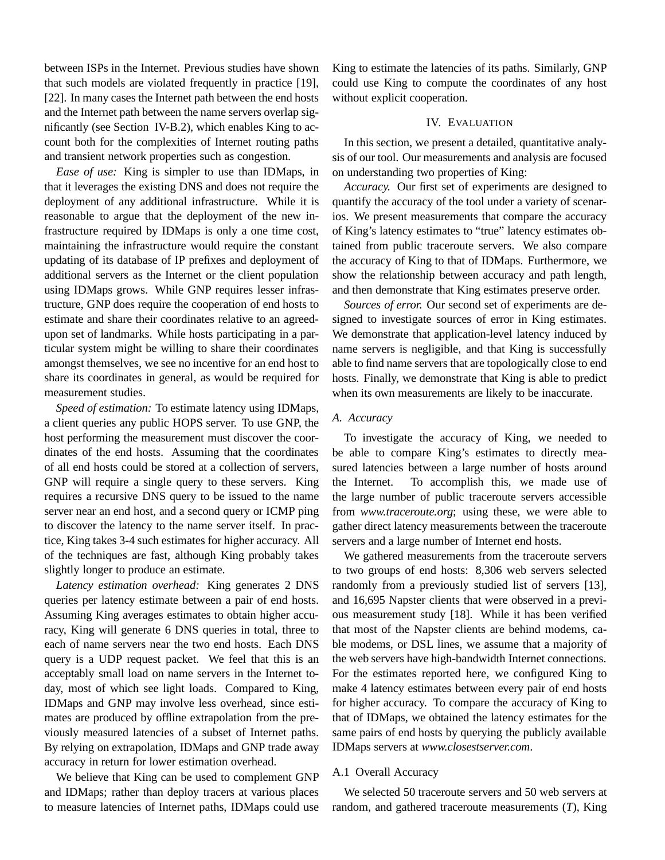between ISPs in the Internet. Previous studies have shown that such models are violated frequently in practice [19], [22]. In many cases the Internet path between the end hosts and the Internet path between the name servers overlap significantly (see Section IV-B.2), which enables King to account both for the complexities of Internet routing paths and transient network properties such as congestion.

*Ease of use:* King is simpler to use than IDMaps, in that it leverages the existing DNS and does not require the deployment of any additional infrastructure. While it is reasonable to argue that the deployment of the new infrastructure required by IDMaps is only a one time cost, maintaining the infrastructure would require the constant updating of its database of IP prefixes and deployment of additional servers as the Internet or the client population using IDMaps grows. While GNP requires lesser infrastructure, GNP does require the cooperation of end hosts to estimate and share their coordinates relative to an agreedupon set of landmarks. While hosts participating in a particular system might be willing to share their coordinates amongst themselves, we see no incentive for an end host to share its coordinates in general, as would be required for measurement studies.

*Speed of estimation:* To estimate latency using IDMaps, a client queries any public HOPS server. To use GNP, the host performing the measurement must discover the coordinates of the end hosts. Assuming that the coordinates of all end hosts could be stored at a collection of servers, GNP will require a single query to these servers. King requires a recursive DNS query to be issued to the name server near an end host, and a second query or ICMP ping to discover the latency to the name server itself. In practice, King takes 3-4 such estimates for higher accuracy. All of the techniques are fast, although King probably takes slightly longer to produce an estimate.

*Latency estimation overhead:* King generates 2 DNS queries per latency estimate between a pair of end hosts. Assuming King averages estimates to obtain higher accuracy, King will generate 6 DNS queries in total, three to each of name servers near the two end hosts. Each DNS query is a UDP request packet. We feel that this is an acceptably small load on name servers in the Internet today, most of which see light loads. Compared to King, IDMaps and GNP may involve less overhead, since estimates are produced by offline extrapolation from the previously measured latencies of a subset of Internet paths. By relying on extrapolation, IDMaps and GNP trade away accuracy in return for lower estimation overhead.

We believe that King can be used to complement GNP and IDMaps; rather than deploy tracers at various places to measure latencies of Internet paths, IDMaps could use King to estimate the latencies of its paths. Similarly, GNP could use King to compute the coordinates of any host without explicit cooperation.

#### IV. EVALUATION

In this section, we present a detailed, quantitative analysis of our tool. Our measurements and analysis are focused on understanding two properties of King:

*Accuracy.* Our first set of experiments are designed to quantify the accuracy of the tool under a variety of scenarios. We present measurements that compare the accuracy of King's latency estimates to "true" latency estimates obtained from public traceroute servers. We also compare the accuracy of King to that of IDMaps. Furthermore, we show the relationship between accuracy and path length, and then demonstrate that King estimates preserve order.

*Sources of error.* Our second set of experiments are designed to investigate sources of error in King estimates. We demonstrate that application-level latency induced by name servers is negligible, and that King is successfully able to find name servers that are topologically close to end hosts. Finally, we demonstrate that King is able to predict when its own measurements are likely to be inaccurate.

## *A. Accuracy*

To investigate the accuracy of King, we needed to be able to compare King's estimates to directly measured latencies between a large number of hosts around the Internet. To accomplish this, we made use of the large number of public traceroute servers accessible from *www.traceroute.org*; using these, we were able to gather direct latency measurements between the traceroute servers and a large number of Internet end hosts.

We gathered measurements from the traceroute servers to two groups of end hosts: 8,306 web servers selected randomly from a previously studied list of servers [13], and 16,695 Napster clients that were observed in a previous measurement study [18]. While it has been verified that most of the Napster clients are behind modems, cable modems, or DSL lines, we assume that a majority of the web servers have high-bandwidth Internet connections. For the estimates reported here, we configured King to make 4 latency estimates between every pair of end hosts for higher accuracy. To compare the accuracy of King to that of IDMaps, we obtained the latency estimates for the same pairs of end hosts by querying the publicly available IDMaps servers at *www.closestserver.com*.

## A.1 Overall Accuracy

We selected 50 traceroute servers and 50 web servers at random, and gathered traceroute measurements (*T*), King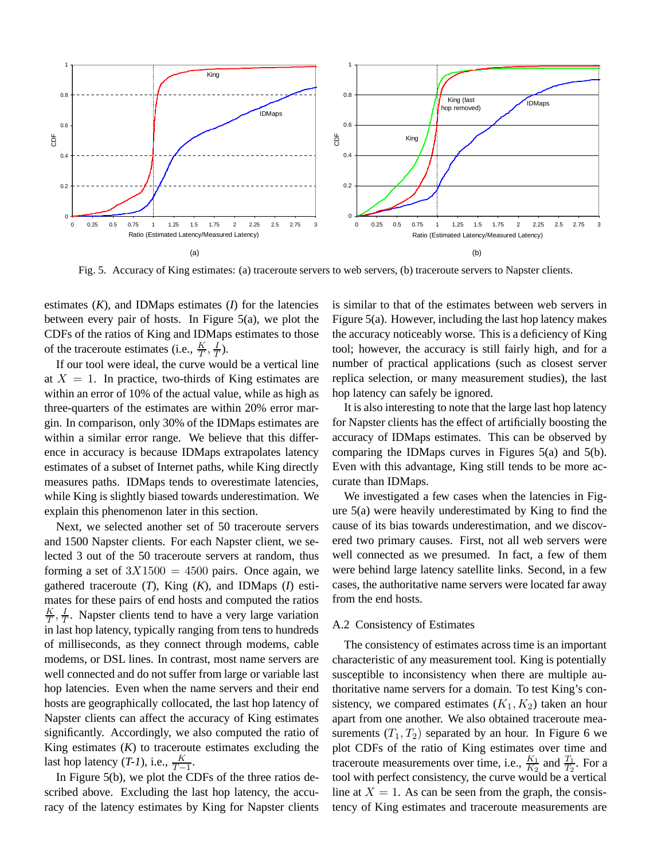

Fig. 5. Accuracy of King estimates: (a) traceroute servers to web servers, (b) traceroute servers to Napster clients.

estimates (*K*), and IDMaps estimates (*I*) for the latencies between every pair of hosts. In Figure 5(a), we plot the CDFs of the ratios of King and IDMaps estimates to those of the traceroute estimates (i.e.,  $\frac{K}{T}$ ,  $\frac{I}{T}$  $(\frac{1}{T})$ .

If our tool were ideal, the curve would be a vertical line at  $X = 1$ . In practice, two-thirds of King estimates are within an error of 10% of the actual value, while as high as three-quarters of the estimates are within 20% error margin. In comparison, only 30% of the IDMaps estimates are within a similar error range. We believe that this difference in accuracy is because IDMaps extrapolates latency estimates of a subset of Internet paths, while King directly measures paths. IDMaps tends to overestimate latencies, while King is slightly biased towards underestimation. We explain this phenomenon later in this section.

Next, we selected another set of 50 traceroute servers and 1500 Napster clients. For each Napster client, we selected 3 out of the 50 traceroute servers at random, thus forming a set of  $3X1500 = 4500$  pairs. Once again, we gathered traceroute (*T*), King (*K*), and IDMaps (*I*) estimates for these pairs of end hosts and computed the ratios K  $\frac{K}{T},\frac{I}{T}$  $\frac{1}{T}$ . Napster clients tend to have a very large variation in last hop latency, typically ranging from tens to hundreds of milliseconds, as they connect through modems, cable modems, or DSL lines. In contrast, most name servers are well connected and do not suffer from large or variable last hop latencies. Even when the name servers and their end hosts are geographically collocated, the last hop latency of Napster clients can affect the accuracy of King estimates significantly. Accordingly, we also computed the ratio of King estimates  $(K)$  to traceroute estimates excluding the last hop latency  $(T-1)$ , i.e.,  $\frac{K}{T-1}$ .

In Figure 5(b), we plot the CDFs of the three ratios described above. Excluding the last hop latency, the accuracy of the latency estimates by King for Napster clients is similar to that of the estimates between web servers in Figure 5(a). However, including the last hop latency makes the accuracy noticeably worse. This is a deficiency of King tool; however, the accuracy is still fairly high, and for a number of practical applications (such as closest server replica selection, or many measurement studies), the last hop latency can safely be ignored.

It is also interesting to note that the large last hop latency for Napster clients has the effect of artificially boosting the accuracy of IDMaps estimates. This can be observed by comparing the IDMaps curves in Figures 5(a) and 5(b). Even with this advantage, King still tends to be more accurate than IDMaps.

We investigated a few cases when the latencies in Figure 5(a) were heavily underestimated by King to find the cause of its bias towards underestimation, and we discovered two primary causes. First, not all web servers were well connected as we presumed. In fact, a few of them were behind large latency satellite links. Second, in a few cases, the authoritative name servers were located far away from the end hosts.

## A.2 Consistency of Estimates

The consistency of estimates across time is an important characteristic of any measurement tool. King is potentially susceptible to inconsistency when there are multiple authoritative name servers for a domain. To test King's consistency, we compared estimates  $(K_1, K_2)$  taken an hour apart from one another. We also obtained traceroute measurements  $(T_1, T_2)$  separated by an hour. In Figure 6 we plot CDFs of the ratio of King estimates over time and traceroute measurements over time, i.e.,  $\frac{K_1}{K_2}$  and  $\frac{T_1}{T_2}$ . For a tool with perfect consistency, the curve would be a vertical line at  $X = 1$ . As can be seen from the graph, the consistency of King estimates and traceroute measurements are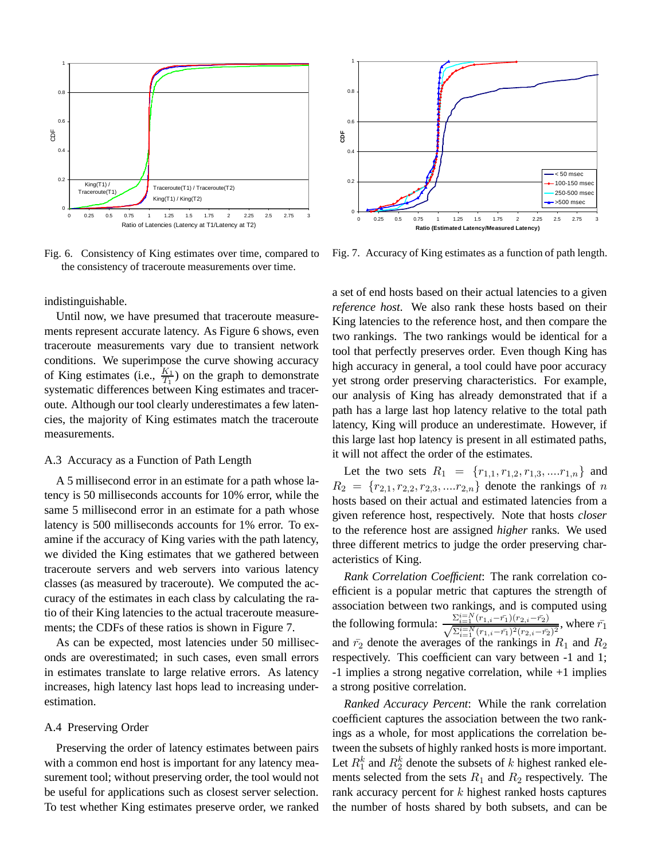

Fig. 6. Consistency of King estimates over time, compared to the consistency of traceroute measurements over time.

indistinguishable.

Until now, we have presumed that traceroute measurements represent accurate latency. As Figure 6 shows, even traceroute measurements vary due to transient network conditions. We superimpose the curve showing accuracy of King estimates (i.e.,  $\frac{K_1}{T_1}$ ) on the graph to demonstrate systematic differences between King estimates and traceroute. Although our tool clearly underestimates a few latencies, the majority of King estimates match the traceroute measurements.

#### A.3 Accuracy as a Function of Path Length

A 5 millisecond error in an estimate for a path whose latency is 50 milliseconds accounts for 10% error, while the same 5 millisecond error in an estimate for a path whose latency is 500 milliseconds accounts for 1% error. To examine if the accuracy of King varies with the path latency, we divided the King estimates that we gathered between traceroute servers and web servers into various latency classes (as measured by traceroute). We computed the accuracy of the estimates in each class by calculating the ratio of their King latencies to the actual traceroute measurements; the CDFs of these ratios is shown in Figure 7.

As can be expected, most latencies under 50 milliseconds are overestimated; in such cases, even small errors in estimates translate to large relative errors. As latency increases, high latency last hops lead to increasing underestimation.

#### A.4 Preserving Order

Preserving the order of latency estimates between pairs with a common end host is important for any latency measurement tool; without preserving order, the tool would not be useful for applications such as closest server selection. To test whether King estimates preserve order, we ranked



Fig. 7. Accuracy of King estimates as a function of path length.

a set of end hosts based on their actual latencies to a given *reference host*. We also rank these hosts based on their King latencies to the reference host, and then compare the two rankings. The two rankings would be identical for a tool that perfectly preserves order. Even though King has high accuracy in general, a tool could have poor accuracy yet strong order preserving characteristics. For example, our analysis of King has already demonstrated that if a path has a large last hop latency relative to the total path latency, King will produce an underestimate. However, if this large last hop latency is present in all estimated paths, it will not affect the order of the estimates.

Let the two sets  $R_1 = \{r_{1,1}, r_{1,2}, r_{1,3}, \ldots, r_{1,n}\}$  and  $R_2 = \{r_{2,1}, r_{2,2}, r_{2,3}, \dots, r_{2,n}\}\$  denote the rankings of n hosts based on their actual and estimated latencies from a given reference host, respectively. Note that hosts *closer* to the reference host are assigned *higher* ranks. We used three different metrics to judge the order preserving characteristics of King.

*Rank Correlation Coefficient*: The rank correlation coefficient is a popular metric that captures the strength of association between two rankings, and is computed using the following formula:  $\frac{\sum_{i=1}^{i=N} (r_{1,i}-\bar{r_1})(r_{2,i}-\bar{r_2})}{\sqrt{\sum_{i=1}^{i=N} (r_{1,i}-\bar{r_1})^2 (r_{2,i}-\bar{r_2})^2}},$  where  $\bar{r_1}$ and  $\bar{r}_2$  denote the averages of the rankings in  $R_1$  and  $R_2$ respectively. This coefficient can vary between -1 and 1; -1 implies a strong negative correlation, while +1 implies a strong positive correlation.

*Ranked Accuracy Percent*: While the rank correlation coefficient captures the association between the two rankings as a whole, for most applications the correlation between the subsets of highly ranked hosts is more important. Let  $R_1^k$  and  $R_2^k$  denote the subsets of k highest ranked elements selected from the sets  $R_1$  and  $R_2$  respectively. The rank accuracy percent for  $k$  highest ranked hosts captures the number of hosts shared by both subsets, and can be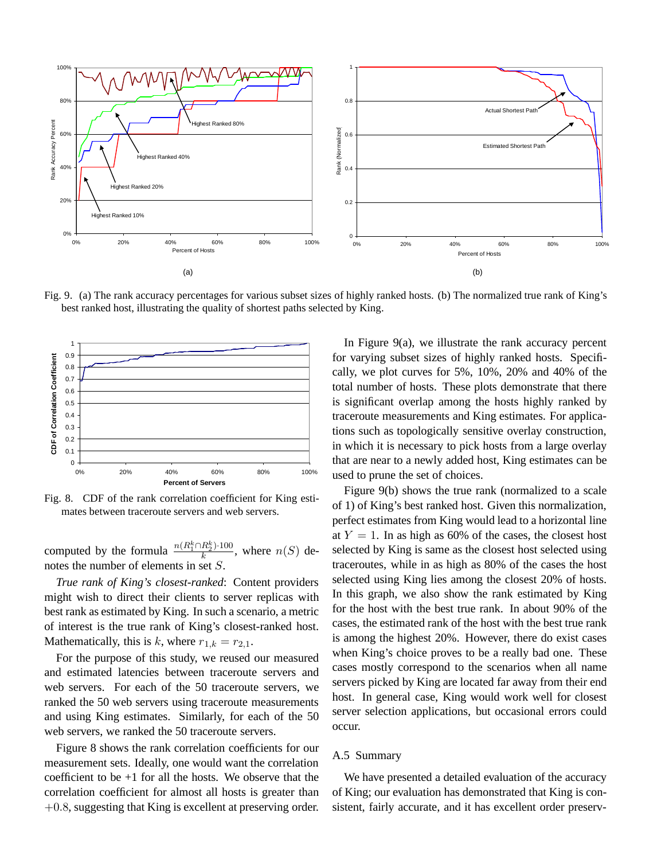

Fig. 9. (a) The rank accuracy percentages for various subset sizes of highly ranked hosts. (b) The normalized true rank of King's best ranked host, illustrating the quality of shortest paths selected by King.



Fig. 8. CDF of the rank correlation coefficient for King estimates between traceroute servers and web servers.

computed by the formula  $\frac{n(R_1^k \cap R_2^k) \cdot 100}{k}$  $\frac{n_2 \cdot 100}{k}$ , where  $n(S)$  denotes the number of elements in set S.

*True rank of King's closest-ranked*: Content providers might wish to direct their clients to server replicas with best rank as estimated by King. In such a scenario, a metric of interest is the true rank of King's closest-ranked host. Mathematically, this is k, where  $r_{1,k} = r_{2,1}$ .

For the purpose of this study, we reused our measured and estimated latencies between traceroute servers and web servers. For each of the 50 traceroute servers, we ranked the 50 web servers using traceroute measurements and using King estimates. Similarly, for each of the 50 web servers, we ranked the 50 traceroute servers.

Figure 8 shows the rank correlation coefficients for our measurement sets. Ideally, one would want the correlation coefficient to be  $+1$  for all the hosts. We observe that the correlation coefficient for almost all hosts is greater than  $+0.8$ , suggesting that King is excellent at preserving order.

In Figure 9(a), we illustrate the rank accuracy percent for varying subset sizes of highly ranked hosts. Specifically, we plot curves for 5%, 10%, 20% and 40% of the total number of hosts. These plots demonstrate that there is significant overlap among the hosts highly ranked by traceroute measurements and King estimates. For applications such as topologically sensitive overlay construction, in which it is necessary to pick hosts from a large overlay that are near to a newly added host, King estimates can be used to prune the set of choices.

Figure 9(b) shows the true rank (normalized to a scale of 1) of King's best ranked host. Given this normalization, perfect estimates from King would lead to a horizontal line at  $Y = 1$ . In as high as 60% of the cases, the closest host selected by King is same as the closest host selected using traceroutes, while in as high as 80% of the cases the host selected using King lies among the closest 20% of hosts. In this graph, we also show the rank estimated by King for the host with the best true rank. In about 90% of the cases, the estimated rank of the host with the best true rank is among the highest 20%. However, there do exist cases when King's choice proves to be a really bad one. These cases mostly correspond to the scenarios when all name servers picked by King are located far away from their end host. In general case, King would work well for closest server selection applications, but occasional errors could occur.

## A.5 Summary

We have presented a detailed evaluation of the accuracy of King; our evaluation has demonstrated that King is consistent, fairly accurate, and it has excellent order preserv-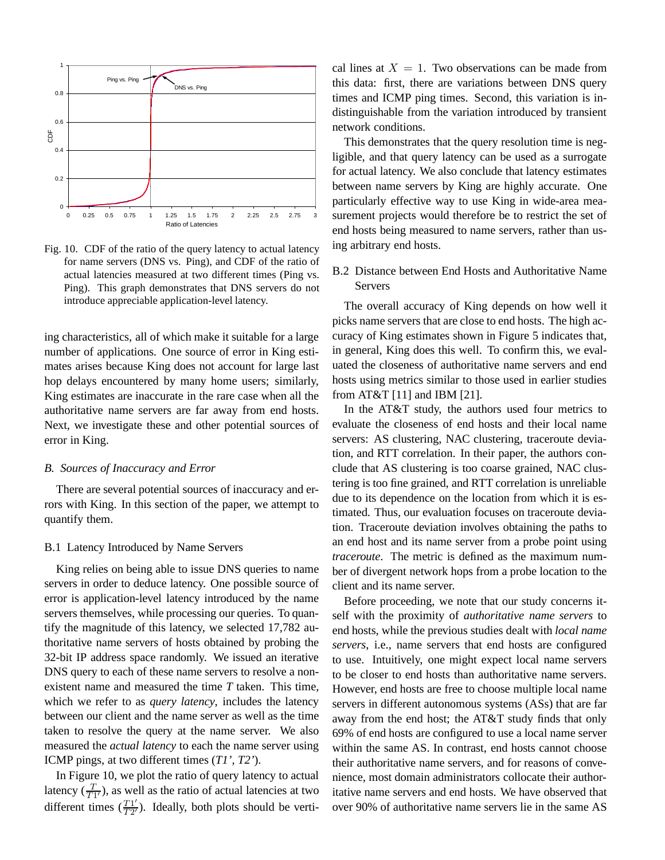

Fig. 10. CDF of the ratio of the query latency to actual latency for name servers (DNS vs. Ping), and CDF of the ratio of actual latencies measured at two different times (Ping vs. Ping). This graph demonstrates that DNS servers do not introduce appreciable application-level latency.

ing characteristics, all of which make it suitable for a large number of applications. One source of error in King estimates arises because King does not account for large last hop delays encountered by many home users; similarly, King estimates are inaccurate in the rare case when all the authoritative name servers are far away from end hosts. Next, we investigate these and other potential sources of error in King.

## *B. Sources of Inaccuracy and Error*

There are several potential sources of inaccuracy and errors with King. In this section of the paper, we attempt to quantify them.

#### B.1 Latency Introduced by Name Servers

King relies on being able to issue DNS queries to name servers in order to deduce latency. One possible source of error is application-level latency introduced by the name servers themselves, while processing our queries. To quantify the magnitude of this latency, we selected 17,782 authoritative name servers of hosts obtained by probing the 32-bit IP address space randomly. We issued an iterative DNS query to each of these name servers to resolve a nonexistent name and measured the time *T* taken. This time, which we refer to as *query latency*, includes the latency between our client and the name server as well as the time taken to resolve the query at the name server. We also measured the *actual latency* to each the name server using ICMP pings, at two different times (*T1', T2'*).

In Figure 10, we plot the ratio of query latency to actual latency  $(\frac{T}{T}$  $\frac{T}{T_1}$ , as well as the ratio of actual latencies at two different times  $(\frac{T1}{T2})$  $\frac{T_1}{T_2}$ ). Ideally, both plots should be vertical lines at  $X = 1$ . Two observations can be made from this data: first, there are variations between DNS query times and ICMP ping times. Second, this variation is indistinguishable from the variation introduced by transient network conditions.

This demonstrates that the query resolution time is negligible, and that query latency can be used as a surrogate for actual latency. We also conclude that latency estimates between name servers by King are highly accurate. One particularly effective way to use King in wide-area measurement projects would therefore be to restrict the set of end hosts being measured to name servers, rather than using arbitrary end hosts.

# B.2 Distance between End Hosts and Authoritative Name Servers

The overall accuracy of King depends on how well it picks name servers that are close to end hosts. The high accuracy of King estimates shown in Figure 5 indicates that, in general, King does this well. To confirm this, we evaluated the closeness of authoritative name servers and end hosts using metrics similar to those used in earlier studies from AT&T [11] and IBM [21].

In the AT&T study, the authors used four metrics to evaluate the closeness of end hosts and their local name servers: AS clustering, NAC clustering, traceroute deviation, and RTT correlation. In their paper, the authors conclude that AS clustering is too coarse grained, NAC clustering is too fine grained, and RTT correlation is unreliable due to its dependence on the location from which it is estimated. Thus, our evaluation focuses on traceroute deviation. Traceroute deviation involves obtaining the paths to an end host and its name server from a probe point using *traceroute*. The metric is defined as the maximum number of divergent network hops from a probe location to the client and its name server.

Before proceeding, we note that our study concerns itself with the proximity of *authoritative name servers* to end hosts, while the previous studies dealt with *local name servers*, i.e., name servers that end hosts are configured to use. Intuitively, one might expect local name servers to be closer to end hosts than authoritative name servers. However, end hosts are free to choose multiple local name servers in different autonomous systems (ASs) that are far away from the end host; the AT&T study finds that only 69% of end hosts are configured to use a local name server within the same AS. In contrast, end hosts cannot choose their authoritative name servers, and for reasons of convenience, most domain administrators collocate their authoritative name servers and end hosts. We have observed that over 90% of authoritative name servers lie in the same AS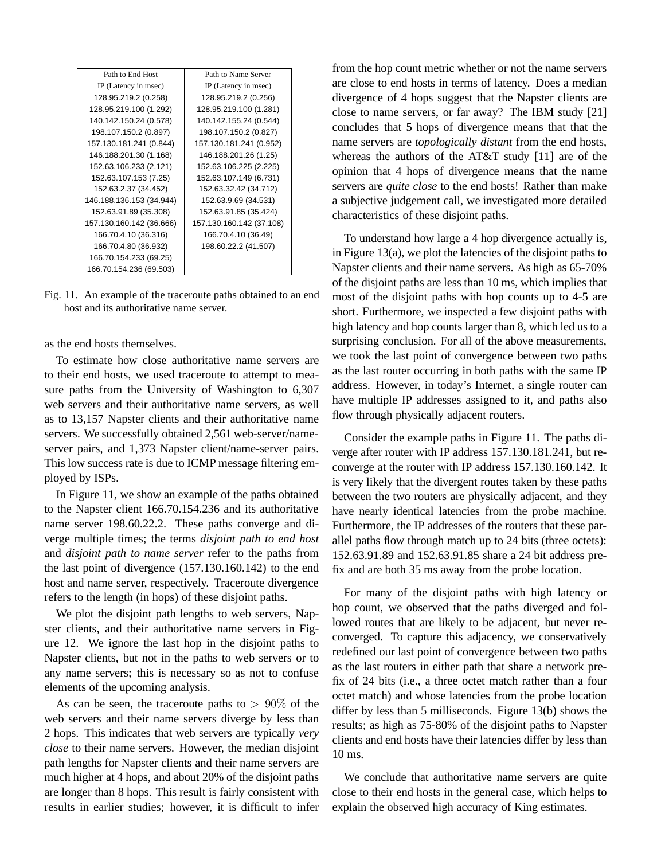| Path to End Host         | Path to Name Server      |  |
|--------------------------|--------------------------|--|
|                          |                          |  |
| IP (Latency in msec)     | IP (Latency in msec)     |  |
| 128.95.219.2 (0.258)     | 128.95.219.2 (0.256)     |  |
| 128.95.219.100 (1.292)   | 128.95.219.100 (1.281)   |  |
| 140.142.150.24 (0.578)   | 140.142.155.24 (0.544)   |  |
| 198.107.150.2 (0.897)    | 198.107.150.2 (0.827)    |  |
| 157.130.181.241 (0.844)  | 157.130.181.241 (0.952)  |  |
| 146.188.201.30 (1.168)   | 146.188.201.26 (1.25)    |  |
| 152.63.106.233 (2.121)   | 152.63.106.225 (2.225)   |  |
| 152.63.107.153 (7.25)    | 152.63.107.149 (6.731)   |  |
| 152.63.2.37 (34.452)     | 152.63.32.42 (34.712)    |  |
| 146.188.136.153 (34.944) | 152.63.9.69 (34.531)     |  |
| 152.63.91.89 (35.308)    | 152.63.91.85 (35.424)    |  |
| 157.130.160.142 (36.666) | 157.130.160.142 (37.108) |  |
| 166.70.4.10 (36.316)     | 166.70.4.10 (36.49)      |  |
| 166.70.4.80 (36.932)     | 198.60.22.2 (41.507)     |  |
| 166.70.154.233 (69.25)   |                          |  |
| 166.70.154.236 (69.503)  |                          |  |

Fig. 11. An example of the traceroute paths obtained to an end host and its authoritative name server.

as the end hosts themselves.

To estimate how close authoritative name servers are to their end hosts, we used traceroute to attempt to measure paths from the University of Washington to 6,307 web servers and their authoritative name servers, as well as to 13,157 Napster clients and their authoritative name servers. We successfully obtained 2,561 web-server/nameserver pairs, and 1,373 Napster client/name-server pairs. This low success rate is due to ICMP message filtering employed by ISPs.

In Figure 11, we show an example of the paths obtained to the Napster client 166.70.154.236 and its authoritative name server 198.60.22.2. These paths converge and diverge multiple times; the terms *disjoint path to end host* and *disjoint path to name server* refer to the paths from the last point of divergence (157.130.160.142) to the end host and name server, respectively. Traceroute divergence refers to the length (in hops) of these disjoint paths.

We plot the disjoint path lengths to web servers, Napster clients, and their authoritative name servers in Figure 12. We ignore the last hop in the disjoint paths to Napster clients, but not in the paths to web servers or to any name servers; this is necessary so as not to confuse elements of the upcoming analysis.

As can be seen, the traceroute paths to  $> 90\%$  of the web servers and their name servers diverge by less than 2 hops. This indicates that web servers are typically *very close* to their name servers. However, the median disjoint path lengths for Napster clients and their name servers are much higher at 4 hops, and about 20% of the disjoint paths are longer than 8 hops. This result is fairly consistent with results in earlier studies; however, it is difficult to infer

from the hop count metric whether or not the name servers are close to end hosts in terms of latency. Does a median divergence of 4 hops suggest that the Napster clients are close to name servers, or far away? The IBM study [21] concludes that 5 hops of divergence means that that the name servers are *topologically distant* from the end hosts, whereas the authors of the AT&T study [11] are of the opinion that 4 hops of divergence means that the name servers are *quite close* to the end hosts! Rather than make a subjective judgement call, we investigated more detailed characteristics of these disjoint paths.

To understand how large a 4 hop divergence actually is, in Figure 13(a), we plot the latencies of the disjoint paths to Napster clients and their name servers. As high as 65-70% of the disjoint paths are less than 10 ms, which implies that most of the disjoint paths with hop counts up to 4-5 are short. Furthermore, we inspected a few disjoint paths with high latency and hop counts larger than 8, which led us to a surprising conclusion. For all of the above measurements, we took the last point of convergence between two paths as the last router occurring in both paths with the same IP address. However, in today's Internet, a single router can have multiple IP addresses assigned to it, and paths also flow through physically adjacent routers.

Consider the example paths in Figure 11. The paths diverge after router with IP address 157.130.181.241, but reconverge at the router with IP address 157.130.160.142. It is very likely that the divergent routes taken by these paths between the two routers are physically adjacent, and they have nearly identical latencies from the probe machine. Furthermore, the IP addresses of the routers that these parallel paths flow through match up to 24 bits (three octets): 152.63.91.89 and 152.63.91.85 share a 24 bit address prefix and are both 35 ms away from the probe location.

For many of the disjoint paths with high latency or hop count, we observed that the paths diverged and followed routes that are likely to be adjacent, but never reconverged. To capture this adjacency, we conservatively redefined our last point of convergence between two paths as the last routers in either path that share a network prefix of 24 bits (i.e., a three octet match rather than a four octet match) and whose latencies from the probe location differ by less than 5 milliseconds. Figure 13(b) shows the results; as high as 75-80% of the disjoint paths to Napster clients and end hosts have their latencies differ by less than 10 ms.

We conclude that authoritative name servers are quite close to their end hosts in the general case, which helps to explain the observed high accuracy of King estimates.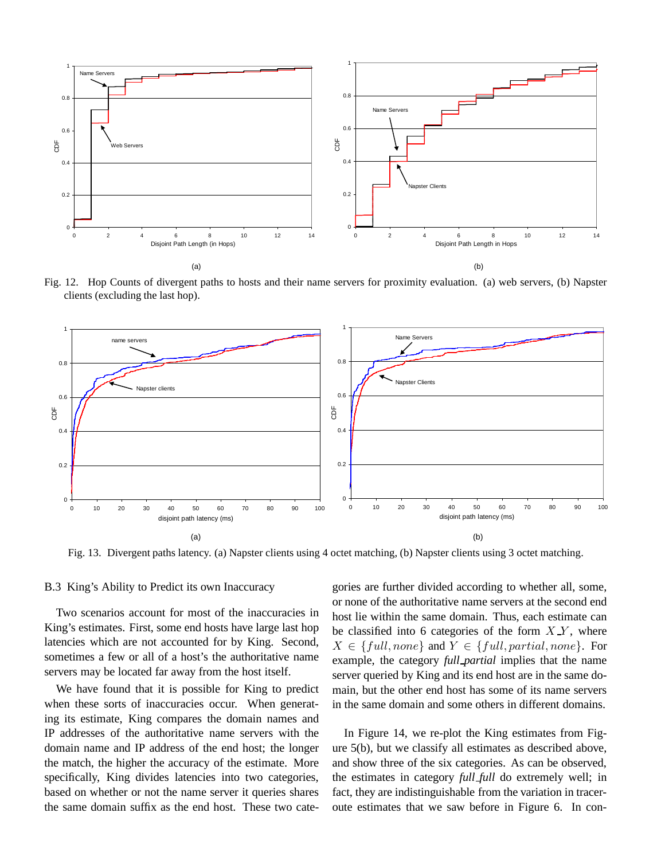

Fig. 12. Hop Counts of divergent paths to hosts and their name servers for proximity evaluation. (a) web servers, (b) Napster clients (excluding the last hop).



Fig. 13. Divergent paths latency. (a) Napster clients using 4 octet matching, (b) Napster clients using 3 octet matching.

## B.3 King's Ability to Predict its own Inaccuracy

Two scenarios account for most of the inaccuracies in King's estimates. First, some end hosts have large last hop latencies which are not accounted for by King. Second, sometimes a few or all of a host's the authoritative name servers may be located far away from the host itself.

We have found that it is possible for King to predict when these sorts of inaccuracies occur. When generating its estimate, King compares the domain names and IP addresses of the authoritative name servers with the domain name and IP address of the end host; the longer the match, the higher the accuracy of the estimate. More specifically, King divides latencies into two categories, based on whether or not the name server it queries shares the same domain suffix as the end host. These two cate-

gories are further divided according to whether all, some, or none of the authoritative name servers at the second end host lie within the same domain. Thus, each estimate can be classified into 6 categories of the form  $X \, Y$ , where  $X \in \{full, none\}$  and  $Y \in \{full, partial, none\}$ . For example, the category *full partial* implies that the name server queried by King and its end host are in the same domain, but the other end host has some of its name servers in the same domain and some others in different domains.

In Figure 14, we re-plot the King estimates from Figure 5(b), but we classify all estimates as described above, and show three of the six categories. As can be observed, the estimates in category *full full* do extremely well; in fact, they are indistinguishable from the variation in traceroute estimates that we saw before in Figure 6. In con-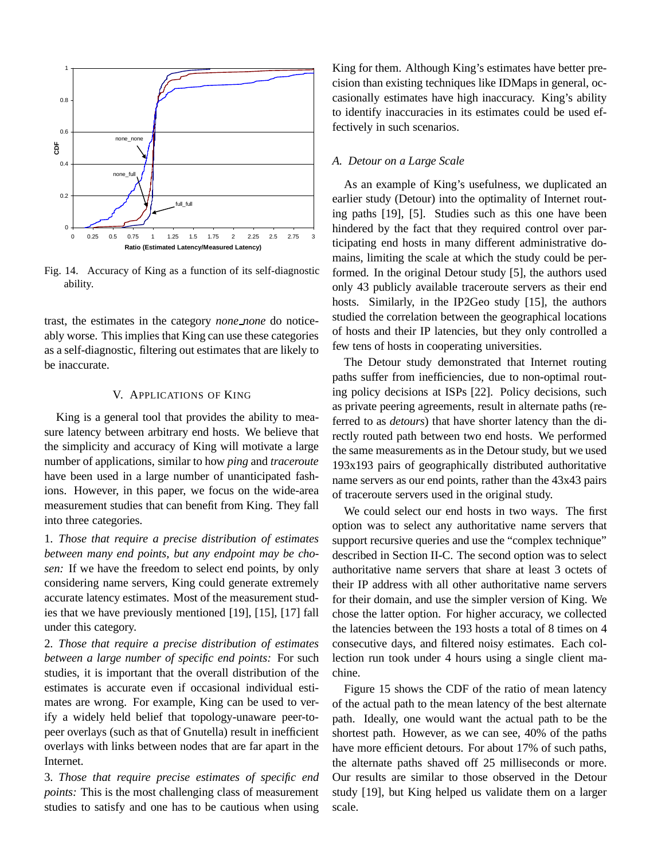

Fig. 14. Accuracy of King as a function of its self-diagnostic ability.

trast, the estimates in the category *none none* do noticeably worse. This implies that King can use these categories as a self-diagnostic, filtering out estimates that are likely to be inaccurate.

## V. APPLICATIONS OF KING

King is a general tool that provides the ability to measure latency between arbitrary end hosts. We believe that the simplicity and accuracy of King will motivate a large number of applications, similar to how *ping* and *traceroute* have been used in a large number of unanticipated fashions. However, in this paper, we focus on the wide-area measurement studies that can benefit from King. They fall into three categories.

1. *Those that require a precise distribution of estimates between many end points, but any endpoint may be chosen:* If we have the freedom to select end points, by only considering name servers, King could generate extremely accurate latency estimates. Most of the measurement studies that we have previously mentioned [19], [15], [17] fall under this category.

2. *Those that require a precise distribution of estimates between a large number of specific end points:* For such studies, it is important that the overall distribution of the estimates is accurate even if occasional individual estimates are wrong. For example, King can be used to verify a widely held belief that topology-unaware peer-topeer overlays (such as that of Gnutella) result in inefficient overlays with links between nodes that are far apart in the Internet.

3. *Those that require precise estimates of specific end points:* This is the most challenging class of measurement studies to satisfy and one has to be cautious when using King for them. Although King's estimates have better precision than existing techniques like IDMaps in general, occasionally estimates have high inaccuracy. King's ability to identify inaccuracies in its estimates could be used effectively in such scenarios.

## *A. Detour on a Large Scale*

As an example of King's usefulness, we duplicated an earlier study (Detour) into the optimality of Internet routing paths [19], [5]. Studies such as this one have been hindered by the fact that they required control over participating end hosts in many different administrative domains, limiting the scale at which the study could be performed. In the original Detour study [5], the authors used only 43 publicly available traceroute servers as their end hosts. Similarly, in the IP2Geo study [15], the authors studied the correlation between the geographical locations of hosts and their IP latencies, but they only controlled a few tens of hosts in cooperating universities.

The Detour study demonstrated that Internet routing paths suffer from inefficiencies, due to non-optimal routing policy decisions at ISPs [22]. Policy decisions, such as private peering agreements, result in alternate paths (referred to as *detours*) that have shorter latency than the directly routed path between two end hosts. We performed the same measurements as in the Detour study, but we used 193x193 pairs of geographically distributed authoritative name servers as our end points, rather than the 43x43 pairs of traceroute servers used in the original study.

We could select our end hosts in two ways. The first option was to select any authoritative name servers that support recursive queries and use the "complex technique" described in Section II-C. The second option was to select authoritative name servers that share at least 3 octets of their IP address with all other authoritative name servers for their domain, and use the simpler version of King. We chose the latter option. For higher accuracy, we collected the latencies between the 193 hosts a total of 8 times on 4 consecutive days, and filtered noisy estimates. Each collection run took under 4 hours using a single client machine.

Figure 15 shows the CDF of the ratio of mean latency of the actual path to the mean latency of the best alternate path. Ideally, one would want the actual path to be the shortest path. However, as we can see, 40% of the paths have more efficient detours. For about 17% of such paths, the alternate paths shaved off 25 milliseconds or more. Our results are similar to those observed in the Detour study [19], but King helped us validate them on a larger scale.